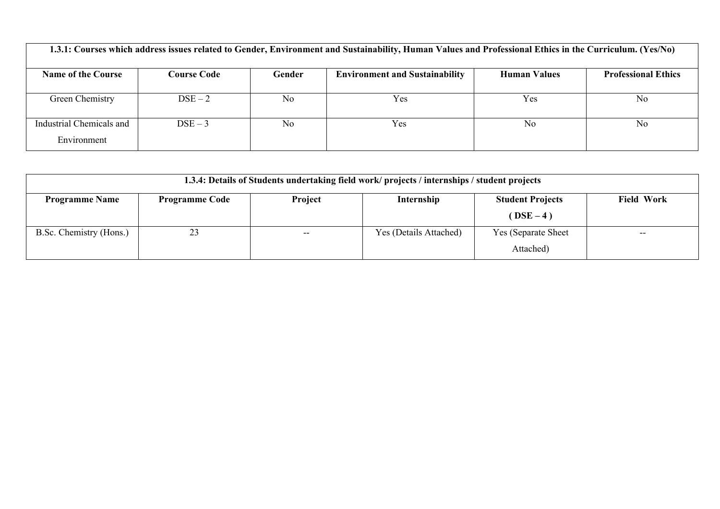| 1.3.1: Courses which address issues related to Gender, Environment and Sustainability, Human Values and Professional Ethics in the Curriculum. (Yes/No) |                    |                |                                       |                     |                            |  |
|---------------------------------------------------------------------------------------------------------------------------------------------------------|--------------------|----------------|---------------------------------------|---------------------|----------------------------|--|
| <b>Name of the Course</b>                                                                                                                               | <b>Course Code</b> | Gender         | <b>Environment and Sustainability</b> | <b>Human Values</b> | <b>Professional Ethics</b> |  |
| Green Chemistry                                                                                                                                         | $DSE-2$            | N <sub>0</sub> | Yes                                   | Yes                 | N <sub>0</sub>             |  |
| Industrial Chemicals and<br>Environment                                                                                                                 | $DSE-3$            | N <sub>0</sub> | Yes                                   | N <sub>0</sub>      | N <sub>0</sub>             |  |

| 1.3.4: Details of Students undertaking field work/projects / internships / student projects |                       |         |                        |                         |                   |
|---------------------------------------------------------------------------------------------|-----------------------|---------|------------------------|-------------------------|-------------------|
| <b>Programme Name</b>                                                                       | <b>Programme Code</b> | Project | Internship             | <b>Student Projects</b> | <b>Field Work</b> |
|                                                                                             |                       |         |                        | $(DSE-4)$               |                   |
| B.Sc. Chemistry (Hons.)                                                                     |                       | $- -$   | Yes (Details Attached) | Yes (Separate Sheet)    | $- -$             |
|                                                                                             |                       |         |                        | Attached)               |                   |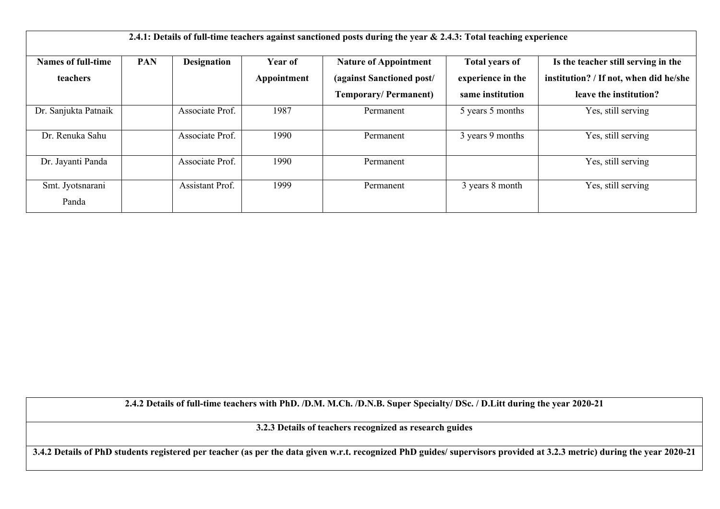| <b>Names of full-time</b> | <b>PAN</b> | <b>Designation</b>     | <b>Year of</b> | <b>Nature of Appointment</b> | <b>Total years of</b> | Is the teacher still serving in the    |
|---------------------------|------------|------------------------|----------------|------------------------------|-----------------------|----------------------------------------|
| teachers                  |            |                        | Appointment    | (against Sanctioned post/    | experience in the     | institution? / If not, when did he/she |
|                           |            |                        |                | <b>Temporary/Permanent)</b>  | same institution      | leave the institution?                 |
| Dr. Sanjukta Patnaik      |            | Associate Prof.        | 1987           | Permanent                    | 5 years 5 months      | Yes, still serving                     |
| Dr. Renuka Sahu           |            | Associate Prof.        | 1990           | Permanent                    | 3 years 9 months      | Yes, still serving                     |
| Dr. Jayanti Panda         |            | Associate Prof.        | 1990           | Permanent                    |                       | Yes, still serving                     |
| Smt. Jyotsnarani          |            | <b>Assistant Prof.</b> | 1999           | Permanent                    | 3 years 8 month       | Yes, still serving                     |
| Panda                     |            |                        |                |                              |                       |                                        |

**2.4.2 Details of full-time teachers with PhD. /D.M. M.Ch. /D.N.B. Super Specialty/ DSc. / D.Litt during the year 2020-21**

**3.2.3 Details of teachers recognized as research guides**

**3.4.2 Details of PhD students registered per teacher (as per the data given w.r.t. recognized PhD guides/ supervisors provided at 3.2.3 metric) during the year 2020-21**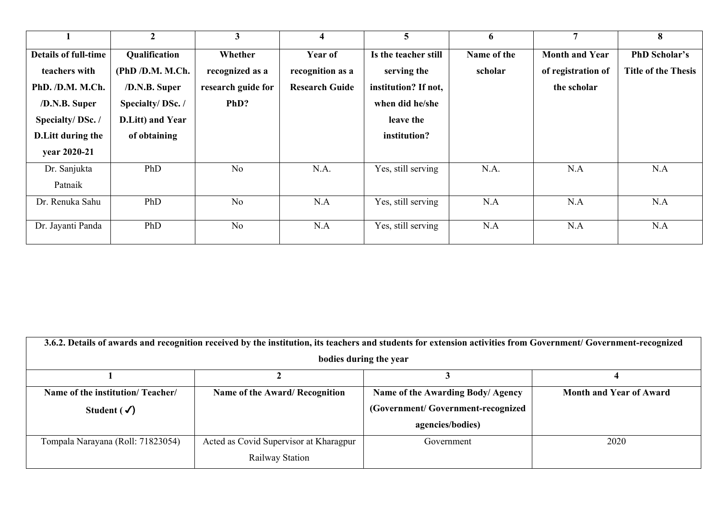| 3<br>5<br>7<br>$\overline{2}$<br>$\overline{\mathbf{4}}$<br>6                                                                      | 8                          |
|------------------------------------------------------------------------------------------------------------------------------------|----------------------------|
| Qualification<br>Is the teacher still<br><b>Details of full-time</b><br>Whether<br>Year of<br>Name of the<br><b>Month and Year</b> | <b>PhD Scholar's</b>       |
| (PhD /D.M. M.Ch.<br>serving the<br>teachers with<br>recognized as a<br>recognition as a<br>scholar<br>of registration of           | <b>Title of the Thesis</b> |
| PhD. /D.M. M.Ch.<br>/D.N.B. Super<br>research guide for<br>institution? If not,<br><b>Research Guide</b><br>the scholar            |                            |
| Specialty/DSc./<br>/D.N.B. Super<br>PhD?<br>when did he/she                                                                        |                            |
| Specialty/DSc./<br>D.Litt) and Year<br>leave the                                                                                   |                            |
| <b>D.Litt during the</b><br>of obtaining<br>institution?                                                                           |                            |
| year 2020-21                                                                                                                       |                            |
| N.A.<br>Dr. Sanjukta<br>PhD<br>Yes, still serving<br>N.A<br>N <sub>o</sub><br>N.A.                                                 | N.A                        |
| Patnaik                                                                                                                            |                            |
| Yes, still serving<br>N <sub>o</sub><br>N.A<br>N.A<br>N.A<br>Dr. Renuka Sahu<br>PhD                                                | N.A                        |
|                                                                                                                                    |                            |
| Dr. Jayanti Panda<br>N.A<br>N.A<br>N.A<br>PhD<br>N <sub>o</sub><br>Yes, still serving                                              | N.A                        |

| 3.6.2. Details of awards and recognition received by the institution, its teachers and students for extension activities from Government/ Government-recognized |                                        |                                   |                                |  |  |  |
|-----------------------------------------------------------------------------------------------------------------------------------------------------------------|----------------------------------------|-----------------------------------|--------------------------------|--|--|--|
| bodies during the year                                                                                                                                          |                                        |                                   |                                |  |  |  |
|                                                                                                                                                                 |                                        |                                   |                                |  |  |  |
| Name of the institution/Teacher/                                                                                                                                | Name of the Award/ Recognition         | Name of the Awarding Body/ Agency | <b>Month and Year of Award</b> |  |  |  |
| Student $(\checkmark)$                                                                                                                                          |                                        | (Government/Government-recognized |                                |  |  |  |
|                                                                                                                                                                 |                                        | agencies/bodies)                  |                                |  |  |  |
| Tompala Narayana (Roll: 71823054)                                                                                                                               | Acted as Covid Supervisor at Kharagpur | Government                        | 2020                           |  |  |  |
|                                                                                                                                                                 | Railway Station                        |                                   |                                |  |  |  |